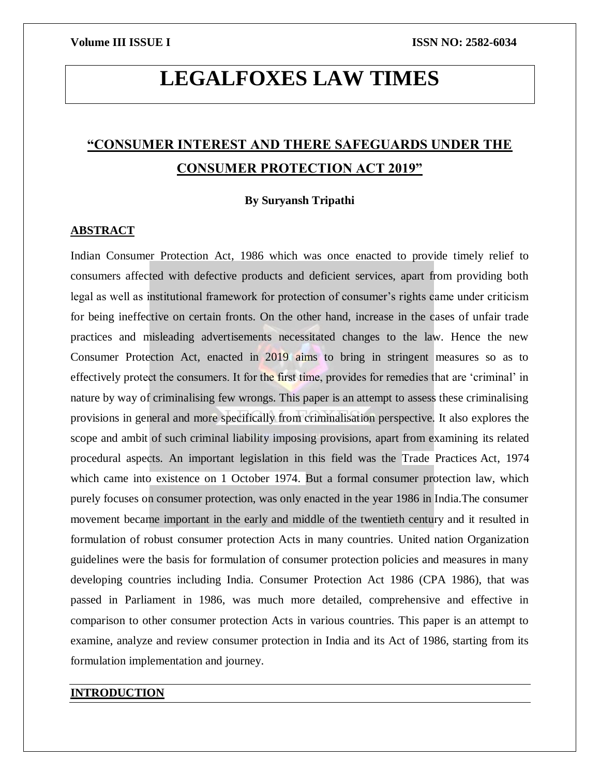# **LEGALFOXES LAW TIMES**

## **"CONSUMER INTEREST AND THERE SAFEGUARDS UNDER THE CONSUMER PROTECTION ACT 2019"**

### **By Suryansh Tripathi**

### **ABSTRACT**

Indian Consumer Protection Act, 1986 which was once enacted to provide timely relief to consumers affected with defective products and deficient services, apart from providing both legal as well as institutional framework for protection of consumer's rights came under criticism for being ineffective on certain fronts. On the other hand, increase in the cases of unfair trade practices and misleading advertisements necessitated changes to the law. Hence the new Consumer Protection Act, enacted in 2019 aims to bring in stringent measures so as to effectively protect the consumers. It for the first time, provides for remedies that are 'criminal' in nature by way of criminalising few wrongs. This paper is an attempt to assess these criminalising provisions in general and more specifically from criminalisation perspective. It also explores the scope and ambit of such criminal liability imposing provisions, apart from examining its related procedural aspects. An important legislation in this field was the Trade Practices Act, 1974 which came into existence on 1 October 1974. But a formal consumer protection law, which purely focuses on consumer protection, was only enacted in the year 1986 in India.The consumer movement became important in the early and middle of the twentieth century and it resulted in formulation of robust consumer protection Acts in many countries. United nation Organization guidelines were the basis for formulation of consumer protection policies and measures in many developing countries including India. Consumer Protection Act 1986 (CPA 1986), that was passed in Parliament in 1986, was much more detailed, comprehensive and effective in comparison to other consumer protection Acts in various countries. This paper is an attempt to examine, analyze and review consumer protection in India and its Act of 1986, starting from its formulation implementation and journey.

### **INTRODUCTION**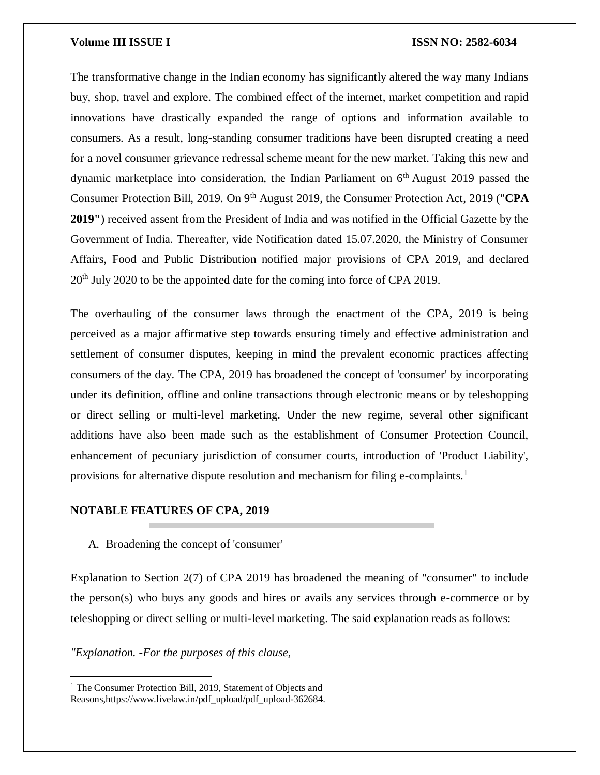The transformative change in the Indian economy has significantly altered the way many Indians buy, shop, travel and explore. The combined effect of the internet, market competition and rapid innovations have drastically expanded the range of options and information available to consumers. As a result, long-standing consumer traditions have been disrupted creating a need for a novel consumer grievance redressal scheme meant for the new market. Taking this new and dynamic marketplace into consideration, the Indian Parliament on  $6<sup>th</sup>$  August 2019 passed the Consumer Protection Bill, 2019. On 9<sup>th</sup> August 2019, the Consumer Protection Act, 2019 ("CPA **2019"**) received assent from the President of India and was notified in the Official Gazette by the Government of India. Thereafter, vide Notification dated 15.07.2020, the Ministry of Consumer Affairs, Food and Public Distribution notified major provisions of CPA 2019, and declared  $20<sup>th</sup>$  July 2020 to be the appointed date for the coming into force of CPA 2019.

The overhauling of the consumer laws through the enactment of the CPA, 2019 is being perceived as a major affirmative step towards ensuring timely and effective administration and settlement of consumer disputes, keeping in mind the prevalent economic practices affecting consumers of the day. The CPA, 2019 has broadened the concept of 'consumer' by incorporating under its definition, offline and online transactions through electronic means or by teleshopping or direct selling or multi-level marketing. Under the new regime, several other significant additions have also been made such as the establishment of Consumer Protection Council, enhancement of pecuniary jurisdiction of consumer courts, introduction of 'Product Liability', provisions for alternative dispute resolution and mechanism for filing e-complaints.<sup>1</sup>

#### **NOTABLE FEATURES OF CPA, 2019**

A. Broadening the concept of 'consumer'

Explanation to Section 2(7) of CPA 2019 has broadened the meaning of "consumer" to include the person(s) who buys any goods and hires or avails any services through e-commerce or by teleshopping or direct selling or multi-level marketing. The said explanation reads as follows:

*"Explanation. -For the purposes of this clause,*

 $\overline{\phantom{a}}$ 

<sup>&</sup>lt;sup>1</sup> The Consumer Protection Bill, 2019, Statement of Objects and Reasons,https://www.livelaw.in/pdf\_upload/pdf\_upload-362684.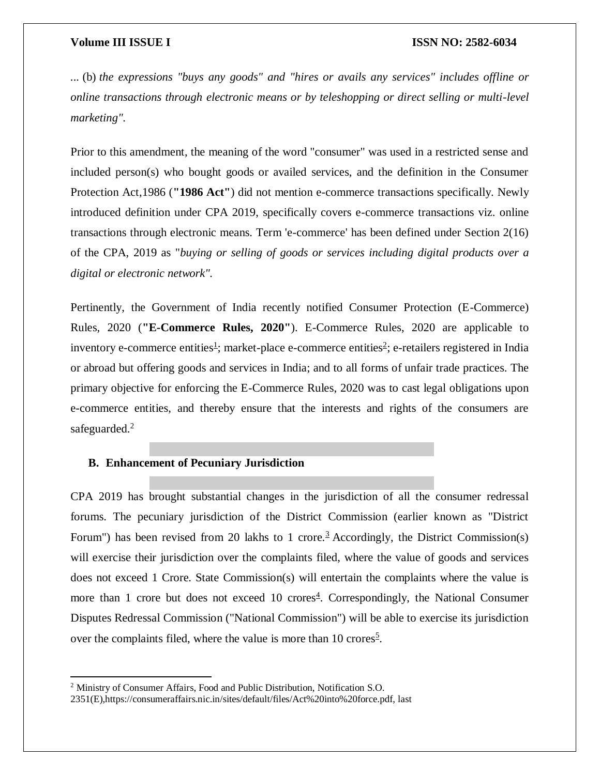*...* (b) *the expressions "buys any goods" and "hires or avails any services" includes offline or online transactions through electronic means or by teleshopping or direct selling or multi-level marketing".*

Prior to this amendment, the meaning of the word "consumer" was used in a restricted sense and included person(s) who bought goods or availed services, and the definition in the Consumer Protection Act,1986 (**"1986 Act"**) did not mention e-commerce transactions specifically. Newly introduced definition under CPA 2019, specifically covers e-commerce transactions viz. online transactions through electronic means. Term 'e-commerce' has been defined under Section 2(16) of the CPA, 2019 as "*buying or selling of goods or services including digital products over a digital or electronic network".*

Pertinently, the Government of India recently notified Consumer Protection (E-Commerce) Rules, 2020 (**"E-Commerce Rules, 2020"**). E-Commerce Rules, 2020 are applicable to inventory e-commerce entities<sup>[1](https://www.mondaq.com/india/dodd-frank-consumer-protection-act/993392/consumer-protection-act-2019-promising-transparency-and-choices-to-consumers#_edn1)</sup>; market-place e-commerce entities<sup>[2](https://www.mondaq.com/india/dodd-frank-consumer-protection-act/993392/consumer-protection-act-2019-promising-transparency-and-choices-to-consumers#_edn2)</sup>; e-retailers registered in India or abroad but offering goods and services in India; and to all forms of unfair trade practices. The primary objective for enforcing the E-Commerce Rules, 2020 was to cast legal obligations upon e-commerce entities, and thereby ensure that the interests and rights of the consumers are safeguarded.<sup>2</sup>

### **B. Enhancement of Pecuniary Jurisdiction**

CPA 2019 has brought substantial changes in the jurisdiction of all the consumer redressal forums. The pecuniary jurisdiction of the District Commission (earlier known as "District Forum") has been revised from 20 lakhs to 1 crore.<sup>[3](https://www.mondaq.com/india/dodd-frank-consumer-protection-act/993392/consumer-protection-act-2019-promising-transparency-and-choices-to-consumers#_edn3)</sup> Accordingly, the District Commission(s) will exercise their jurisdiction over the complaints filed, where the value of goods and services does not exceed 1 Crore. State Commission(s) will entertain the complaints where the value is more than 1 crore but does not exceed 10 crores<sup>[4](https://www.mondaq.com/india/dodd-frank-consumer-protection-act/993392/consumer-protection-act-2019-promising-transparency-and-choices-to-consumers#_edn4)</sup>. Correspondingly, the National Consumer Disputes Redressal Commission ("National Commission") will be able to exercise its jurisdiction over the complaints filed, where the value is more than 10 crores<sup>[5](https://www.mondaq.com/india/dodd-frank-consumer-protection-act/993392/consumer-protection-act-2019-promising-transparency-and-choices-to-consumers#_edn5)</sup>.

 $\overline{\phantom{a}}$ 

<sup>2</sup> Ministry of Consumer Affairs, Food and Public Distribution, Notification S.O.

<sup>2351(</sup>E),https://consumeraffairs.nic.in/sites/default/files/Act%20into%20force.pdf, last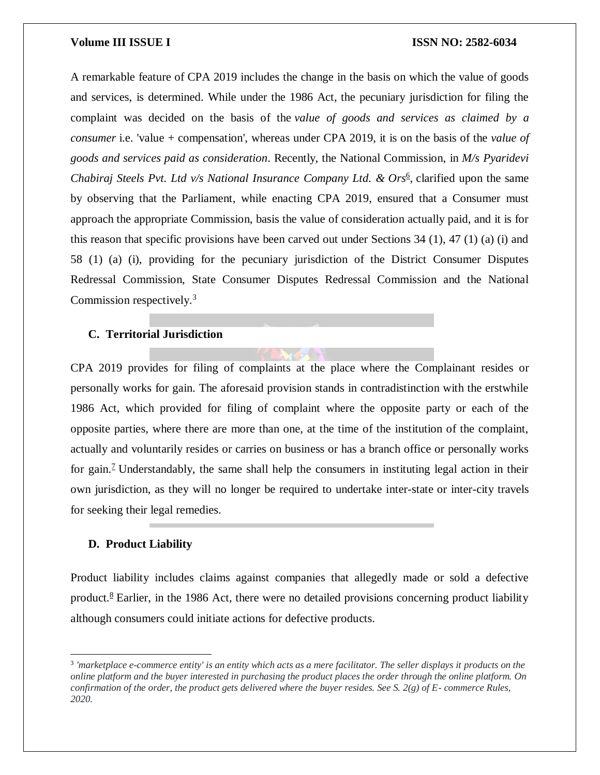A remarkable feature of CPA 2019 includes the change in the basis on which the value of goods and services, is determined. While under the 1986 Act, the pecuniary jurisdiction for filing the complaint was decided on the basis of the *value of goods and services as claimed by a consumer* i.e. 'value + compensation', whereas under CPA 2019, it is on the basis of the *value of goods and services paid as consideration*. Recently, the National Commission, in *M/s Pyaridevi Chabiraj Steels Pvt. Ltd v/s National Insurance Company Ltd. & Ors<sup>[6](https://www.mondaq.com/india/dodd-frank-consumer-protection-act/993392/consumer-protection-act-2019-promising-transparency-and-choices-to-consumers#_edn6)</sup>, clarified upon the same* by observing that the Parliament, while enacting CPA 2019, ensured that a Consumer must approach the appropriate Commission, basis the value of consideration actually paid, and it is for this reason that specific provisions have been carved out under Sections  $34$  (1),  $47$  (1) (a) (i) and 58 (1) (a) (i), providing for the pecuniary jurisdiction of the District Consumer Disputes Redressal Commission, State Consumer Disputes Redressal Commission and the National Commission respectively.<sup>3</sup>

### **C. Territorial Jurisdiction**

CPA 2019 provides for filing of complaints at the place where the Complainant resides or personally works for gain. The aforesaid provision stands in contradistinction with the erstwhile 1986 Act, which provided for filing of complaint where the opposite party or each of the opposite parties, where there are more than one, at the time of the institution of the complaint, actually and voluntarily resides or carries on business or has a branch office or personally works for gain.<sup>2</sup> Understandably, the same shall help the consumers in instituting legal action in their own jurisdiction, as they will no longer be required to undertake inter-state or inter-city travels for seeking their legal remedies.

### **D. Product Liability**

 $\overline{a}$ 

Product liability includes claims against companies that allegedly made or sold a defective product[.](https://www.mondaq.com/india/dodd-frank-consumer-protection-act/993392/consumer-protection-act-2019-promising-transparency-and-choices-to-consumers#_edn8)<sup>8</sup> Earlier, in the 1986 Act, there were no detailed provisions concerning product liability although consumers could initiate actions for defective products.

<sup>&</sup>lt;sup>3</sup> 'marketplace e-commerce entity' is an entity which acts as a mere facilitator. The seller displays it products on the *online platform and the buyer interested in purchasing the product places the order through the online platform. On confirmation of the order, the product gets delivered where the buyer resides. See S. 2(g) of E- commerce Rules, 2020.*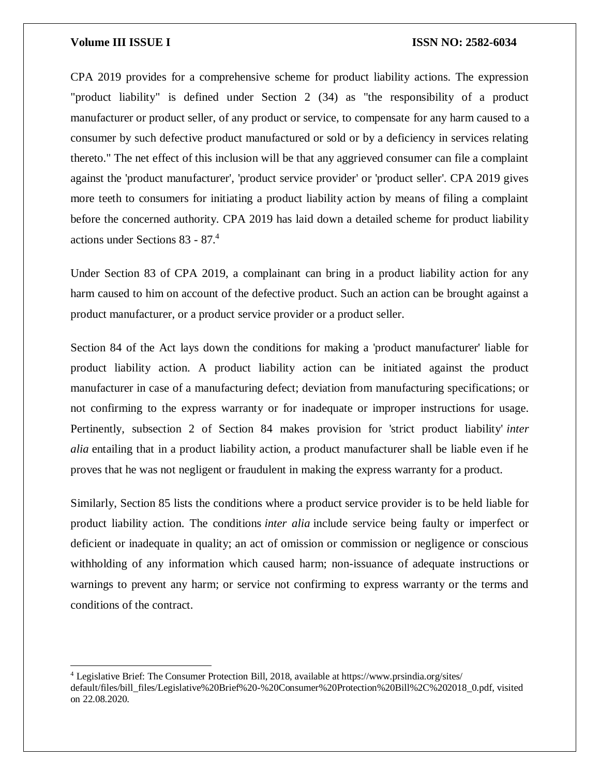$\overline{a}$ 

#### **Volume III ISSUE I ISSN NO: 2582-6034**

CPA 2019 provides for a comprehensive scheme for product liability actions. The expression "product liability" is defined under Section 2 (34) as "the responsibility of a product manufacturer or product seller, of any product or service, to compensate for any harm caused to a consumer by such defective product manufactured or sold or by a deficiency in services relating thereto." The net effect of this inclusion will be that any aggrieved consumer can file a complaint against the 'product manufacturer', 'product service provider' or 'product seller'. CPA 2019 gives more teeth to consumers for initiating a product liability action by means of filing a complaint before the concerned authority. CPA 2019 has laid down a detailed scheme for product liability actions under Sections 83 - 87.<sup>4</sup>

Under Section 83 of CPA 2019, a complainant can bring in a product liability action for any harm caused to him on account of the defective product. Such an action can be brought against a product manufacturer, or a product service provider or a product seller.

Section 84 of the Act lays down the conditions for making a 'product manufacturer' liable for product liability action. A product liability action can be initiated against the product manufacturer in case of a manufacturing defect; deviation from manufacturing specifications; or not confirming to the express warranty or for inadequate or improper instructions for usage. Pertinently, subsection 2 of Section 84 makes provision for 'strict product liability' *inter alia* entailing that in a product liability action, a product manufacturer shall be liable even if he proves that he was not negligent or fraudulent in making the express warranty for a product.

Similarly, Section 85 lists the conditions where a product service provider is to be held liable for product liability action. The conditions *inter alia* include service being faulty or imperfect or deficient or inadequate in quality; an act of omission or commission or negligence or conscious withholding of any information which caused harm; non-issuance of adequate instructions or warnings to prevent any harm; or service not confirming to express warranty or the terms and conditions of the contract.

<sup>4</sup> Legislative Brief: The Consumer Protection Bill, 2018, available at https://www.prsindia.org/sites/ default/files/bill\_files/Legislative%20Brief%20-%20Consumer%20Protection%20Bill%2C%202018\_0.pdf, visited on 22.08.2020.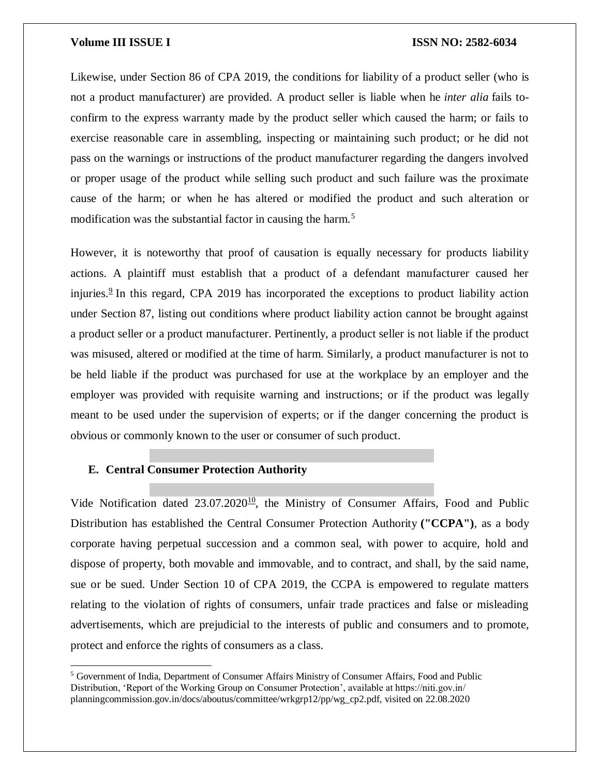Likewise, under Section 86 of CPA 2019, the conditions for liability of a product seller (who is not a product manufacturer) are provided. A product seller is liable when he *inter alia* fails toconfirm to the express warranty made by the product seller which caused the harm; or fails to exercise reasonable care in assembling, inspecting or maintaining such product; or he did not pass on the warnings or instructions of the product manufacturer regarding the dangers involved or proper usage of the product while selling such product and such failure was the proximate cause of the harm; or when he has altered or modified the product and such alteration or modification was the substantial factor in causing the harm.<sup>5</sup>

However, it is noteworthy that proof of causation is equally necessary for products liability actions. A plaintiff must establish that a product of a defendant manufacturer caused her injuries.<sup>[9](https://www.mondaq.com/india/dodd-frank-consumer-protection-act/993392/consumer-protection-act-2019-promising-transparency-and-choices-to-consumers#_edn9)</sup> In this regard, CPA 2019 has incorporated the exceptions to product liability action under Section 87, listing out conditions where product liability action cannot be brought against a product seller or a product manufacturer. Pertinently, a product seller is not liable if the product was misused, altered or modified at the time of harm. Similarly, a product manufacturer is not to be held liable if the product was purchased for use at the workplace by an employer and the employer was provided with requisite warning and instructions; or if the product was legally meant to be used under the supervision of experts; or if the danger concerning the product is obvious or commonly known to the user or consumer of such product.

#### **E. Central Consumer Protection Authority**

 $\overline{a}$ 

Vide Notification dated  $23.07.2020^{10}$  $23.07.2020^{10}$  $23.07.2020^{10}$ , the Ministry of Consumer Affairs, Food and Public Distribution has established the Central Consumer Protection Authority **("CCPA")**, as a body corporate having perpetual succession and a common seal, with power to acquire, hold and dispose of property, both movable and immovable, and to contract, and shall, by the said name, sue or be sued. Under Section 10 of CPA 2019, the CCPA is empowered to regulate matters relating to the violation of rights of consumers, unfair trade practices and false or misleading advertisements, which are prejudicial to the interests of public and consumers and to promote, protect and enforce the rights of consumers as a class.

<sup>5</sup> Government of India, Department of Consumer Affairs Ministry of Consumer Affairs, Food and Public Distribution, 'Report of the Working Group on Consumer Protection', available at https://niti.gov.in/ planningcommission.gov.in/docs/aboutus/committee/wrkgrp12/pp/wg\_cp2.pdf, visited on 22.08.2020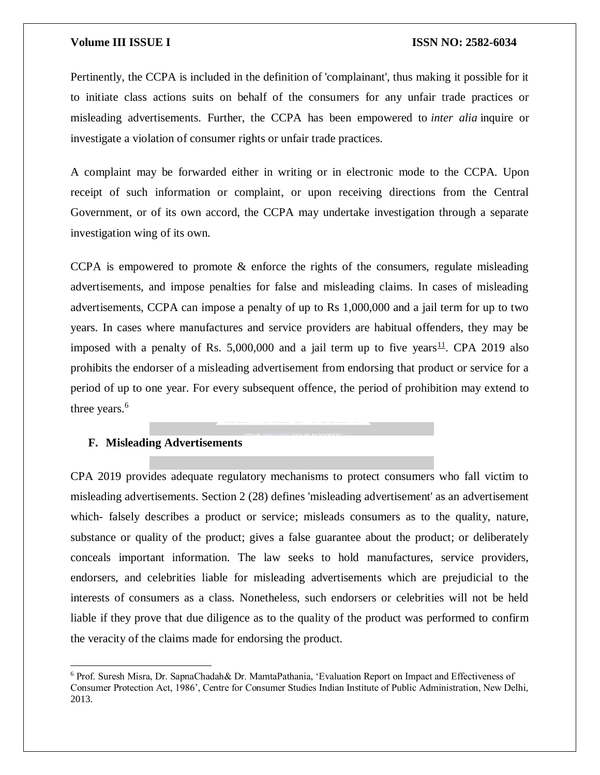Pertinently, the CCPA is included in the definition of 'complainant', thus making it possible for it to initiate class actions suits on behalf of the consumers for any unfair trade practices or misleading advertisements. Further, the CCPA has been empowered to *inter alia* inquire or investigate a violation of consumer rights or unfair trade practices.

A complaint may be forwarded either in writing or in electronic mode to the CCPA. Upon receipt of such information or complaint, or upon receiving directions from the Central Government, or of its own accord, the CCPA may undertake investigation through a separate investigation wing of its own.

CCPA is empowered to promote & enforce the rights of the consumers, regulate misleading advertisements, and impose penalties for false and misleading claims. In cases of misleading advertisements, CCPA can impose a penalty of up to Rs 1,000,000 and a jail term for up to two years. In cases where manufactures and service providers are habitual offenders, they may be imposed with a penalty of Rs. 5,000,000 and a jail term up to five years<sup>[11](https://www.mondaq.com/india/dodd-frank-consumer-protection-act/993392/consumer-protection-act-2019-promising-transparency-and-choices-to-consumers#_edn11)</sup>. CPA 2019 also prohibits the endorser of a misleading advertisement from endorsing that product or service for a period of up to one year. For every subsequent offence, the period of prohibition may extend to three years.<sup>6</sup>

#### **F. Misleading Advertisements**

 $\overline{a}$ 

CPA 2019 provides adequate regulatory mechanisms to protect consumers who fall victim to misleading advertisements. Section 2 (28) defines 'misleading advertisement' as an advertisement which- falsely describes a product or service; misleads consumers as to the quality, nature, substance or quality of the product; gives a false guarantee about the product; or deliberately conceals important information. The law seeks to hold manufactures, service providers, endorsers, and celebrities liable for misleading advertisements which are prejudicial to the interests of consumers as a class. Nonetheless, such endorsers or celebrities will not be held liable if they prove that due diligence as to the quality of the product was performed to confirm the veracity of the claims made for endorsing the product.

<sup>6</sup> Prof. Suresh Misra, Dr. SapnaChadah& Dr. MamtaPathania, 'Evaluation Report on Impact and Effectiveness of Consumer Protection Act, 1986', Centre for Consumer Studies Indian Institute of Public Administration, New Delhi, 2013.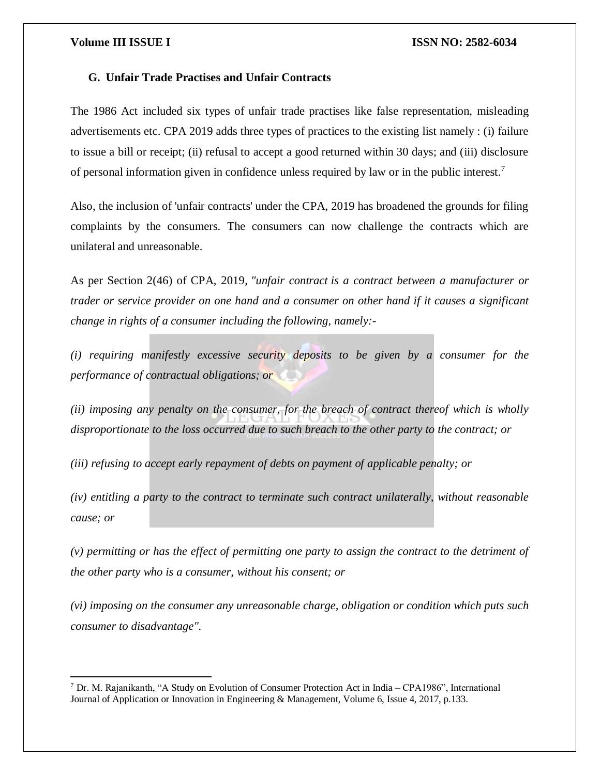$\overline{\phantom{a}}$ 

#### **Volume III ISSUE I ISSN NO: 2582-6034**

### **G. Unfair Trade Practises and Unfair Contracts**

The 1986 Act included six types of unfair trade practises like false representation, misleading advertisements etc. CPA 2019 adds three types of practices to the existing list namely : (i) failure to issue a bill or receipt; (ii) refusal to accept a good returned within 30 days; and (iii) disclosure of personal information given in confidence unless required by law or in the public interest.<sup>7</sup>

Also, the inclusion of 'unfair contracts' under the CPA, 2019 has broadened the grounds for filing complaints by the consumers. The consumers can now challenge the contracts which are unilateral and unreasonable.

As per Section 2(46) of CPA, 2019*, "unfair contract is a contract between a manufacturer or trader or service provider on one hand and a consumer on other hand if it causes a significant change in rights of a consumer including the following, namely:-*

*(i) requiring manifestly excessive security deposits to be given by a consumer for the performance of contractual obligations; or*

*(ii) imposing any penalty on the consumer, for the breach of contract thereof which is wholly disproportionate to the loss occurred due to such breach to the other party to the contract; or*

*(iii) refusing to accept early repayment of debts on payment of applicable penalty; or*

*(iv) entitling a party to the contract to terminate such contract unilaterally, without reasonable cause; or*

*(v) permitting or has the effect of permitting one party to assign the contract to the detriment of the other party who is a consumer, without his consent; or*

*(vi) imposing on the consumer any unreasonable charge, obligation or condition which puts such consumer to disadvantage".*

<sup>7</sup> Dr. M. Rajanikanth, "A Study on Evolution of Consumer Protection Act in India – CPA1986", International Journal of Application or Innovation in Engineering & Management, Volume 6, Issue 4, 2017, p.133.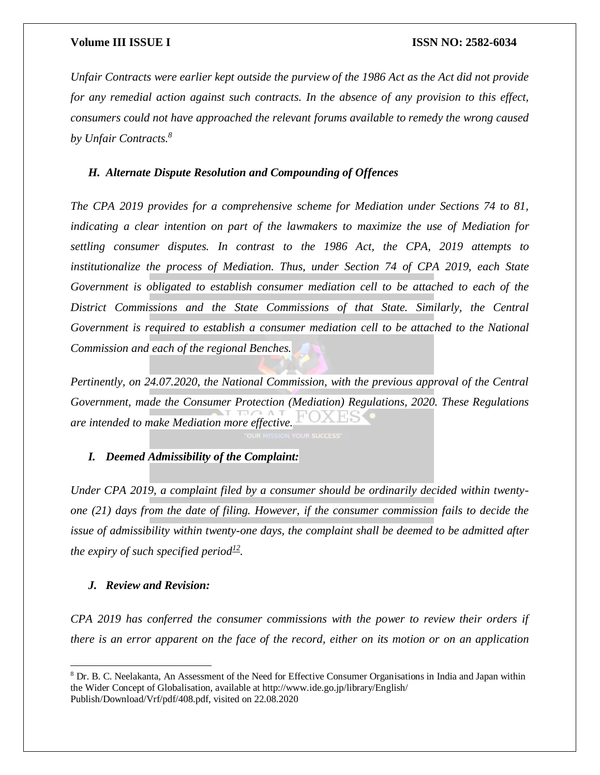*Unfair Contracts were earlier kept outside the purview of the 1986 Act as the Act did not provide for any remedial action against such contracts. In the absence of any provision to this effect, consumers could not have approached the relevant forums available to remedy the wrong caused by Unfair Contracts.<sup>8</sup>*

### *H. Alternate Dispute Resolution and Compounding of Offences*

*The CPA 2019 provides for a comprehensive scheme for Mediation under Sections 74 to 81, indicating a clear intention on part of the lawmakers to maximize the use of Mediation for settling consumer disputes. In contrast to the 1986 Act, the CPA, 2019 attempts to institutionalize the process of Mediation. Thus, under Section 74 of CPA 2019, each State Government is obligated to establish consumer mediation cell to be attached to each of the District Commissions and the State Commissions of that State. Similarly, the Central Government is required to establish a consumer mediation cell to be attached to the National Commission and each of the regional Benches.*

*Pertinently, on 24.07.2020, the National Commission, with the previous approval of the Central Government, made the Consumer Protection (Mediation) Regulations, 2020. These Regulations are intended to make Mediation more effective.*

*I. Deemed Admissibility of the Complaint:*

*Under CPA 2019, a complaint filed by a consumer should be ordinarily decided within twentyone (21) days from the date of filing. However, if the consumer commission fails to decide the issue of admissibility within twenty-one days, the complaint shall be deemed to be admitted after the expiry of such specified period[12](https://www.mondaq.com/india/dodd-frank-consumer-protection-act/993392/consumer-protection-act-2019-promising-transparency-and-choices-to-consumers#_edn12) .*

### *J. Review and Revision:*

 $\overline{a}$ 

*CPA 2019 has conferred the consumer commissions with the power to review their orders if there is an error apparent on the face of the record, either on its motion or on an application* 

<sup>8</sup> Dr. B. C. Neelakanta, An Assessment of the Need for Effective Consumer Organisations in India and Japan within the Wider Concept of Globalisation, available at http://www.ide.go.jp/library/English/ Publish/Download/Vrf/pdf/408.pdf, visited on 22.08.2020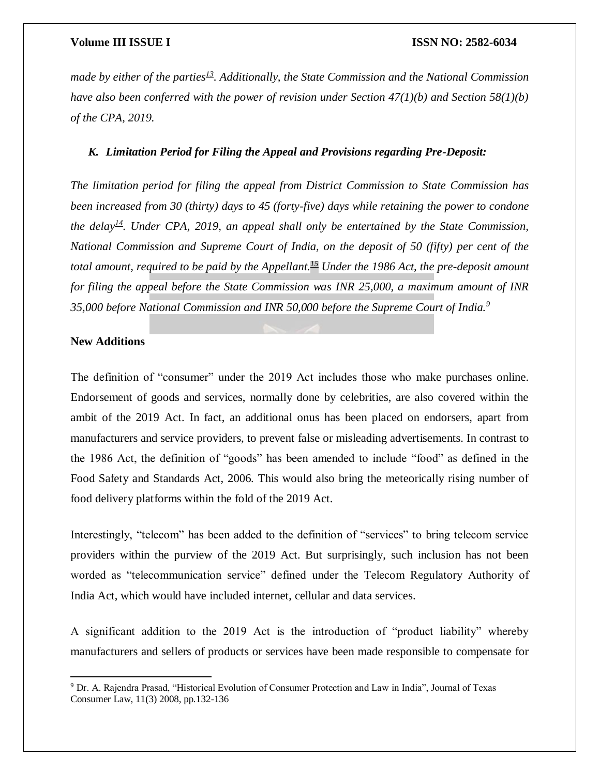*made by either of the parties[13](https://www.mondaq.com/india/dodd-frank-consumer-protection-act/993392/consumer-protection-act-2019-promising-transparency-and-choices-to-consumers#_edn13). Additionally, the State Commission and the National Commission have also been conferred with the power of revision under Section 47(1)(b) and Section 58(1)(b) of the CPA, 2019.*

### *K. Limitation Period for Filing the Appeal and Provisions regarding Pre-Deposit:*

*The limitation period for filing the appeal from District Commission to State Commission has been increased from 30 (thirty) days to 45 (forty-five) days while retaining the power to condone the delay*<sup> $14$ </sup>*. Under CPA, 2019, an appeal shall only be entertained by the State Commission, National Commission and Supreme Court of India, on the deposit of 50 (fifty) per cent of the total amount, required to be paid by the Appellant.[15](https://www.mondaq.com/india/dodd-frank-consumer-protection-act/993392/consumer-protection-act-2019-promising-transparency-and-choices-to-consumers#_edn15) Under the 1986 Act, the pre-deposit amount for filing the appeal before the State Commission was INR 25,000, a maximum amount of INR 35,000 before National Commission and INR 50,000 before the Supreme Court of India.<sup>9</sup>*

### **New Additions**

 $\overline{\phantom{a}}$ 

The definition of "consumer" under the 2019 Act includes those who make purchases online. Endorsement of goods and services, normally done by celebrities, are also covered within the ambit of the 2019 Act. In fact, an additional onus has been placed on endorsers, apart from manufacturers and service providers, to prevent false or misleading advertisements. In contrast to the 1986 Act, the definition of "goods" has been amended to include "food" as defined in the Food Safety and Standards Act, 2006. This would also bring the meteorically rising number of food delivery platforms within the fold of the 2019 Act.

Interestingly, "telecom" has been added to the definition of "services" to bring telecom service providers within the purview of the 2019 Act. But surprisingly, such inclusion has not been worded as "telecommunication service" defined under the Telecom Regulatory Authority of India Act, which would have included internet, cellular and data services.

A significant addition to the 2019 Act is the introduction of "product liability" whereby manufacturers and sellers of products or services have been made responsible to compensate for

<sup>9</sup> Dr. A. Rajendra Prasad, "Historical Evolution of Consumer Protection and Law in India", Journal of Texas Consumer Law, 11(3) 2008, pp.132-136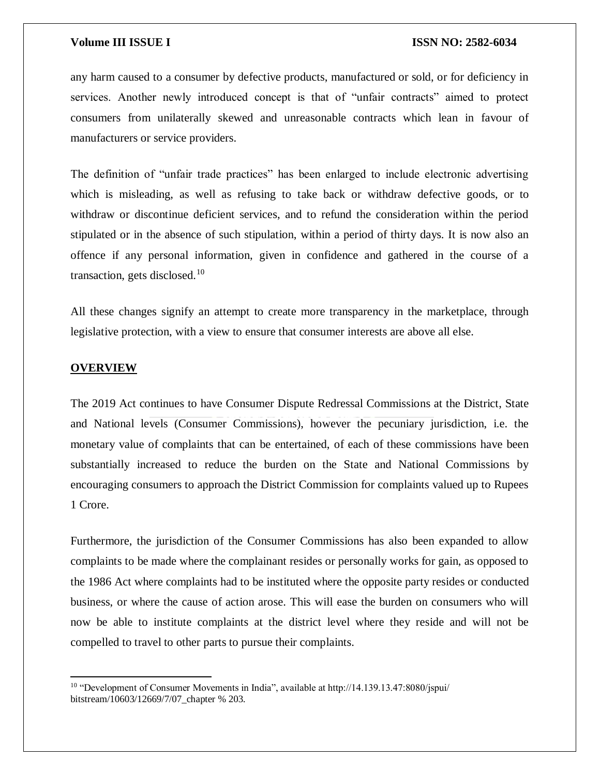any harm caused to a consumer by defective products, manufactured or sold, or for deficiency in services. Another newly introduced concept is that of "unfair contracts" aimed to protect consumers from unilaterally skewed and unreasonable contracts which lean in favour of manufacturers or service providers.

The definition of "unfair trade practices" has been enlarged to include electronic advertising which is misleading, as well as refusing to take back or withdraw defective goods, or to withdraw or discontinue deficient services, and to refund the consideration within the period stipulated or in the absence of such stipulation, within a period of thirty days. It is now also an offence if any personal information, given in confidence and gathered in the course of a transaction, gets disclosed.<sup>10</sup>

All these changes signify an attempt to create more transparency in the marketplace, through legislative protection, with a view to ensure that consumer interests are above all else.

#### **OVERVIEW**

 $\overline{\phantom{a}}$ 

The 2019 Act continues to have Consumer Dispute Redressal Commissions at the District, State and National levels (Consumer Commissions), however the pecuniary jurisdiction, i.e. the monetary value of complaints that can be entertained, of each of these commissions have been substantially increased to reduce the burden on the State and National Commissions by encouraging consumers to approach the District Commission for complaints valued up to Rupees 1 Crore.

Furthermore, the jurisdiction of the Consumer Commissions has also been expanded to allow complaints to be made where the complainant resides or personally works for gain, as opposed to the 1986 Act where complaints had to be instituted where the opposite party resides or conducted business, or where the cause of action arose. This will ease the burden on consumers who will now be able to institute complaints at the district level where they reside and will not be compelled to travel to other parts to pursue their complaints.

<sup>&</sup>lt;sup>10</sup> "Development of Consumer Movements in India", available at http://14.139.13.47:8080/jspui/ bitstream/10603/12669/7/07\_chapter % 203.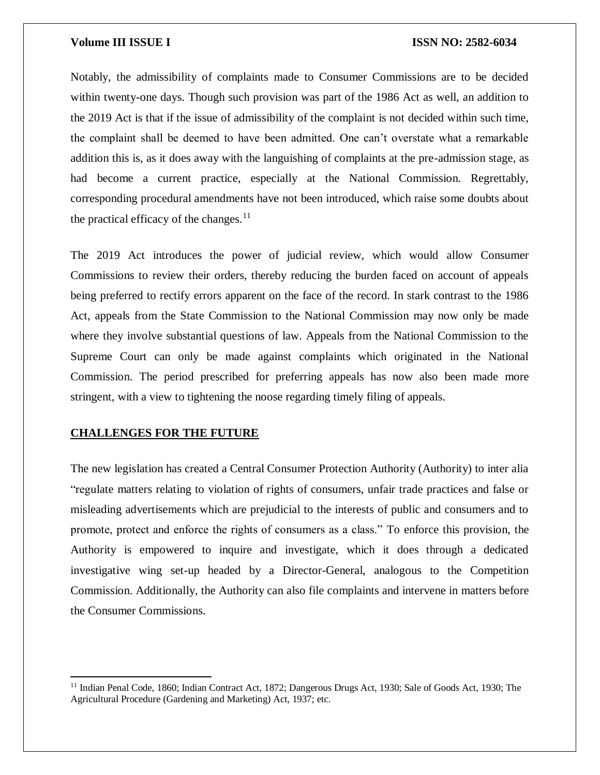Notably, the admissibility of complaints made to Consumer Commissions are to be decided within twenty-one days. Though such provision was part of the 1986 Act as well, an addition to the 2019 Act is that if the issue of admissibility of the complaint is not decided within such time, the complaint shall be deemed to have been admitted. One can't overstate what a remarkable addition this is, as it does away with the languishing of complaints at the pre-admission stage, as had become a current practice, especially at the National Commission. Regrettably, corresponding procedural amendments have not been introduced, which raise some doubts about the practical efficacy of the changes.<sup>11</sup>

The 2019 Act introduces the power of judicial review, which would allow Consumer Commissions to review their orders, thereby reducing the burden faced on account of appeals being preferred to rectify errors apparent on the face of the record. In stark contrast to the 1986 Act, appeals from the State Commission to the National Commission may now only be made where they involve substantial questions of law. Appeals from the National Commission to the Supreme Court can only be made against complaints which originated in the National Commission. The period prescribed for preferring appeals has now also been made more stringent, with a view to tightening the noose regarding timely filing of appeals.

### **CHALLENGES FOR THE FUTURE**

 $\overline{\phantom{a}}$ 

The new legislation has created a Central Consumer Protection Authority (Authority) to inter alia "regulate matters relating to violation of rights of consumers, unfair trade practices and false or misleading advertisements which are prejudicial to the interests of public and consumers and to promote, protect and enforce the rights of consumers as a class." To enforce this provision, the Authority is empowered to inquire and investigate, which it does through a dedicated investigative wing set-up headed by a Director-General, analogous to the Competition Commission. Additionally, the Authority can also file complaints and intervene in matters before the Consumer Commissions.

<sup>&</sup>lt;sup>11</sup> Indian Penal Code, 1860; Indian Contract Act, 1872; Dangerous Drugs Act, 1930; Sale of Goods Act, 1930; The Agricultural Procedure (Gardening and Marketing) Act, 1937; etc.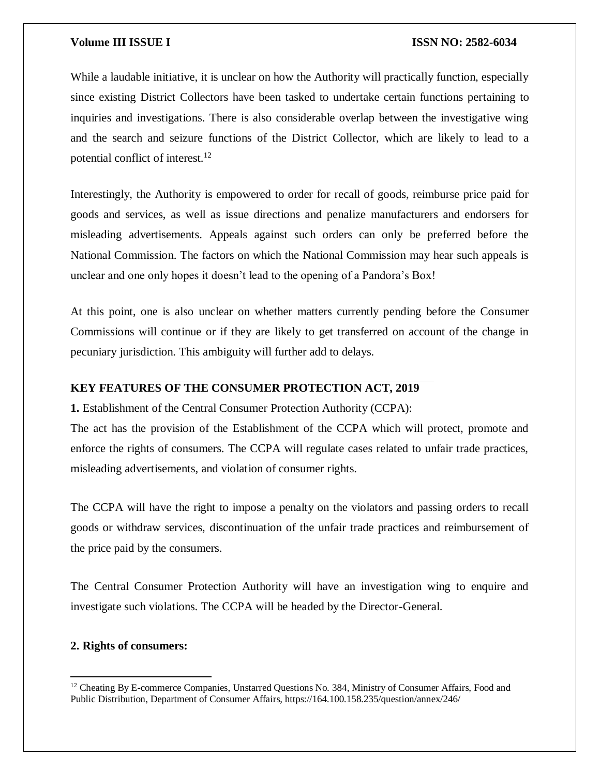While a laudable initiative, it is unclear on how the Authority will practically function, especially since existing District Collectors have been tasked to undertake certain functions pertaining to inquiries and investigations. There is also considerable overlap between the investigative wing and the search and seizure functions of the District Collector, which are likely to lead to a potential conflict of interest.<sup>12</sup>

Interestingly, the Authority is empowered to order for recall of goods, reimburse price paid for goods and services, as well as issue directions and penalize manufacturers and endorsers for misleading advertisements. Appeals against such orders can only be preferred before the National Commission. The factors on which the National Commission may hear such appeals is unclear and one only hopes it doesn't lead to the opening of a Pandora's Box!

At this point, one is also unclear on whether matters currently pending before the Consumer Commissions will continue or if they are likely to get transferred on account of the change in pecuniary jurisdiction. This ambiguity will further add to delays.

#### **KEY FEATURES OF THE CONSUMER PROTECTION ACT, 2019**

**1.** Establishment of the Central Consumer Protection Authority (CCPA):

The act has the provision of the Establishment of the CCPA which will protect, promote and enforce the rights of consumers. The CCPA will regulate cases related to unfair trade practices, misleading advertisements, and violation of consumer rights.

The CCPA will have the right to impose a penalty on the violators and passing orders to recall goods or withdraw services, discontinuation of the unfair trade practices and reimbursement of the price paid by the consumers.

The Central Consumer Protection Authority will have an investigation wing to enquire and investigate such violations. The CCPA will be headed by the Director-General.

#### **2. Rights of consumers:**

 $\overline{\phantom{a}}$ 

<sup>&</sup>lt;sup>12</sup> Cheating By E-commerce Companies, Unstarred Questions No. 384, Ministry of Consumer Affairs, Food and Public Distribution, Department of Consumer Affairs, https://164.100.158.235/question/annex/246/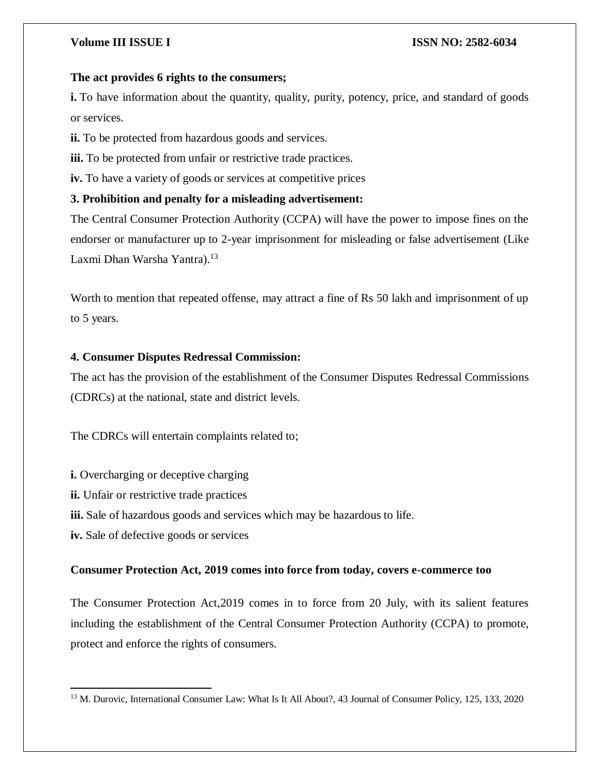### **The act provides 6 rights to the consumers;**

**i.** To have information about the quantity, quality, purity, potency, price, and standard of goods or services.

**ii.** To be protected from hazardous goods and services.

**iii.** To be protected from unfair or restrictive trade practices.

**iv.** To have a variety of goods or services at competitive prices

### **3. Prohibition and penalty for a misleading advertisement:**

The Central Consumer Protection Authority (CCPA) will have the power to impose fines on the endorser or manufacturer up to 2-year imprisonment for misleading or false advertisement (Like Laxmi Dhan Warsha Yantra).<sup>13</sup>

Worth to mention that repeated offense, may attract a fine of Rs 50 lakh and imprisonment of up to 5 years.

### **4. Consumer Disputes Redressal Commission:**

The act has the provision of the establishment of the Consumer Disputes Redressal Commissions (CDRCs) at the national, state and district levels.

The CDRCs will entertain complaints related to;

- **i.** Overcharging or deceptive charging
- **ii.** Unfair or restrictive trade practices
- **iii.** Sale of hazardous goods and services which may be hazardous to life.

**iv.** Sale of defective goods or services

### **Consumer Protection Act, 2019 comes into force from today, covers e-commerce too**

The Consumer Protection Act,2019 comes in to force from 20 July, with its salient features including the establishment of the Central Consumer Protection Authority (CCPA) to promote, protect and enforce the rights of consumers.

 $\overline{a}$ <sup>13</sup> M. Durovic, International Consumer Law: What Is It All About?, 43 Journal of Consumer Policy, 125, 133, 2020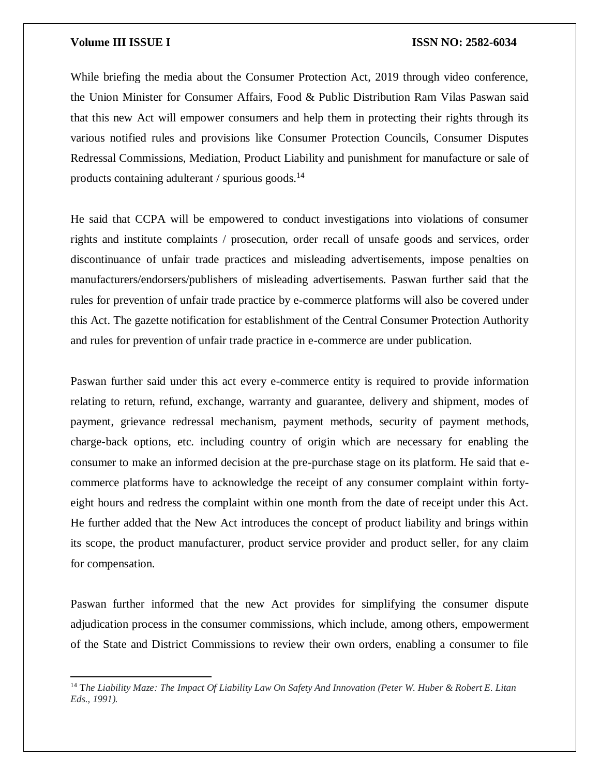$\overline{\phantom{a}}$ 

### **Volume III ISSUE I ISSN NO: 2582-6034**

While briefing the media about the Consumer Protection Act, 2019 through video conference, the Union Minister for Consumer Affairs, Food & Public Distribution Ram Vilas Paswan said that this new Act will empower consumers and help them in protecting their rights through its various notified rules and provisions like Consumer Protection Councils, Consumer Disputes Redressal Commissions, Mediation, Product Liability and punishment for manufacture or sale of products containing adulterant / spurious goods. $^{14}$ 

He said that CCPA will be empowered to conduct investigations into violations of consumer rights and institute complaints / prosecution, order recall of unsafe goods and services, order discontinuance of unfair trade practices and misleading advertisements, impose penalties on manufacturers/endorsers/publishers of misleading advertisements. Paswan further said that the rules for prevention of unfair trade practice by e-commerce platforms will also be covered under this Act. The gazette notification for establishment of the Central Consumer Protection Authority and rules for prevention of unfair trade practice in e-commerce are under publication.

Paswan further said under this act every e-commerce entity is required to provide information relating to return, refund, exchange, warranty and guarantee, delivery and shipment, modes of payment, grievance redressal mechanism, payment methods, security of payment methods, charge-back options, etc. including country of origin which are necessary for enabling the consumer to make an informed decision at the pre-purchase stage on its platform. He said that ecommerce platforms have to acknowledge the receipt of any consumer complaint within fortyeight hours and redress the complaint within one month from the date of receipt under this Act. He further added that the New Act introduces the concept of product liability and brings within its scope, the product manufacturer, product service provider and product seller, for any claim for compensation.

Paswan further informed that the new Act provides for simplifying the consumer dispute adjudication process in the consumer commissions, which include, among others, empowerment of the State and District Commissions to review their own orders, enabling a consumer to file

<sup>14</sup> T*he Liability Maze: The Impact Of Liability Law On Safety And Innovation (Peter W. Huber & Robert E. Litan Eds., 1991).*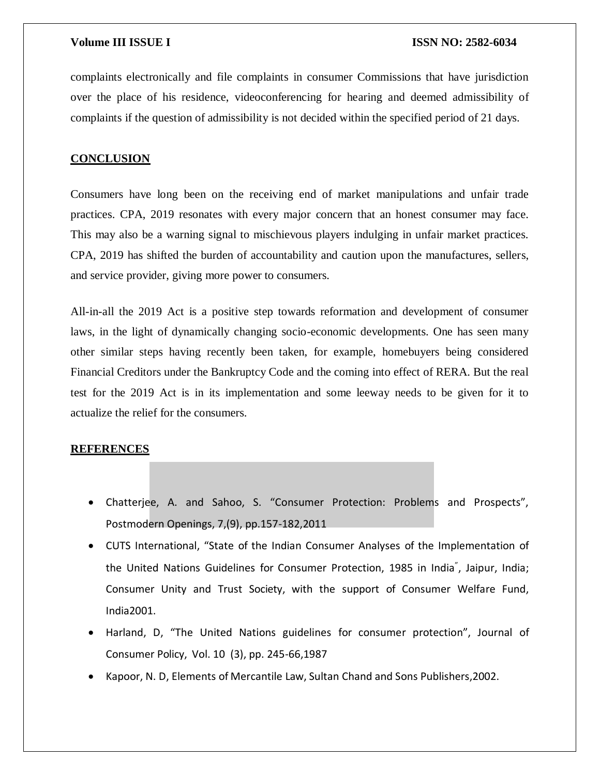complaints electronically and file complaints in consumer Commissions that have jurisdiction over the place of his residence, videoconferencing for hearing and deemed admissibility of complaints if the question of admissibility is not decided within the specified period of 21 days.

### **CONCLUSION**

Consumers have long been on the receiving end of market manipulations and unfair trade practices. CPA, 2019 resonates with every major concern that an honest consumer may face. This may also be a warning signal to mischievous players indulging in unfair market practices. CPA, 2019 has shifted the burden of accountability and caution upon the manufactures, sellers, and service provider, giving more power to consumers.

All-in-all the 2019 Act is a positive step towards reformation and development of consumer laws, in the light of dynamically changing socio-economic developments. One has seen many other similar steps having recently been taken, for example, homebuyers being considered Financial Creditors under the Bankruptcy Code and the coming into effect of RERA. But the real test for the 2019 Act is in its implementation and some leeway needs to be given for it to actualize the relief for the consumers.

#### **REFERENCES**

- Chatterjee, A. and Sahoo, S. "Consumer Protection: Problems and Prospects", Postmodern Openings, 7,(9), pp.157-182,2011
- CUTS International, "State of the Indian Consumer Analyses of the Implementation of the United Nations Guidelines for Consumer Protection, 1985 in India" , Jaipur, India; Consumer Unity and Trust Society, with the support of Consumer Welfare Fund, India2001.
- Harland, D, "The United Nations guidelines for consumer protection", Journal of Consumer Policy, Vol. 10 (3), pp. 245-66,1987
- Kapoor, N. D, Elements of Mercantile Law, Sultan Chand and Sons Publishers,2002.